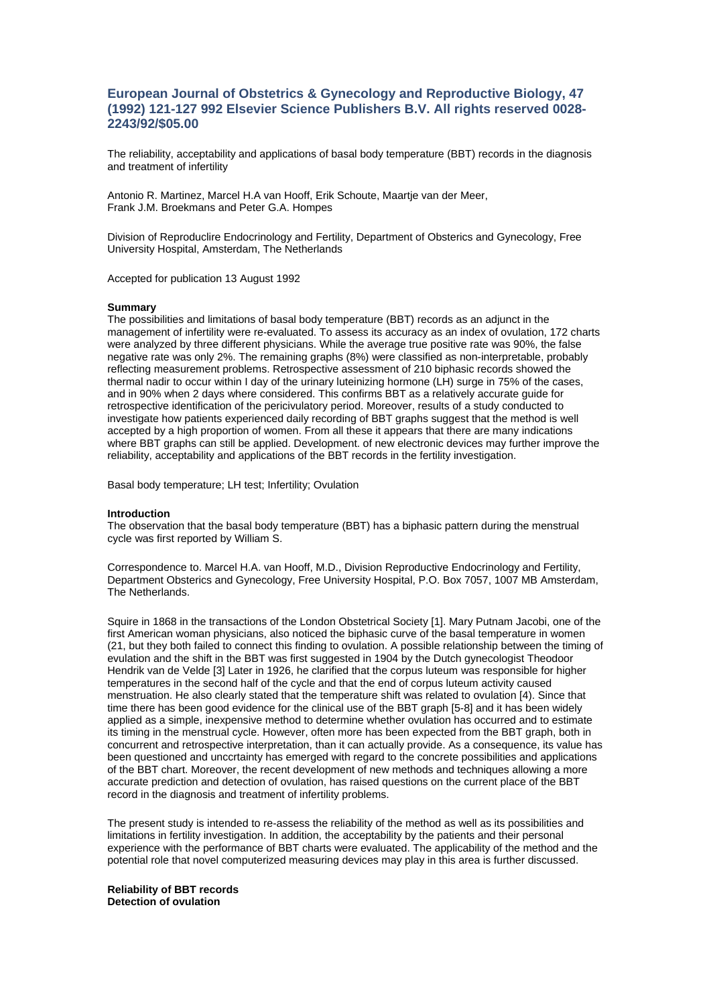# **European Journal of Obstetrics & Gynecology and Reproductive Biology, 47 (1992) 121-127 992 Elsevier Science Publishers B.V. All rights reserved 0028- 2243/92/\$05.00**

The reliability, acceptability and applications of basal body temperature (BBT) records in the diagnosis and treatment of infertility

Antonio R. Martinez, Marcel H.A van Hooff, Erik Schoute, Maartje van der Meer, Frank J.M. Broekmans and Peter G.A. Hompes

Division of Reproduclire Endocrinology and Fertility, Department of Obsterics and Gynecology, Free University Hospital, Amsterdam, The Netherlands

Accepted for publication 13 August 1992

# **Summary**

The possibilities and limitations of basal body temperature (BBT) records as an adjunct in the management of infertility were re-evaluated. To assess its accuracy as an index of ovulation, 172 charts were analyzed by three different physicians. While the average true positive rate was 90%, the false negative rate was only 2%. The remaining graphs (8%) were classified as non-interpretable, probably reflecting measurement problems. Retrospective assessment of 210 biphasic records showed the thermal nadir to occur within I day of the urinary luteinizing hormone (LH) surge in 75% of the cases, and in 90% when 2 days where considered. This confirms BBT as a relatively accurate guide for retrospective identification of the pericivulatory period. Moreover, results of a study conducted to investigate how patients experienced daily recording of BBT graphs suggest that the method is well accepted by a high proportion of women. From all these it appears that there are many indications where BBT graphs can still be applied. Development. of new electronic devices may further improve the reliability, acceptability and applications of the BBT records in the fertility investigation.

Basal body temperature; LH test; Infertility; Ovulation

#### **Introduction**

The observation that the basal body temperature (BBT) has a biphasic pattern during the menstrual cycle was first reported by William S.

Correspondence to. Marcel H.A. van Hooff, M.D., Division Reproductive Endocrinology and Fertility, Department Obsterics and Gynecology, Free University Hospital, P.O. Box 7057, 1007 MB Amsterdam, The Netherlands.

Squire in 1868 in the transactions of the London Obstetrical Society [1]. Mary Putnam Jacobi, one of the first American woman physicians, also noticed the biphasic curve of the basal temperature in women (21, but they both failed to connect this finding to ovulation. A possible relationship between the timing of evulation and the shift in the BBT was first suggested in 1904 by the Dutch gynecologist Theodoor Hendrik van de Velde [3] Later in 1926, he clarified that the corpus luteum was responsible for higher temperatures in the second half of the cycle and that the end of corpus luteum activity caused menstruation. He also clearly stated that the temperature shift was related to ovulation [4). Since that time there has been good evidence for the clinical use of the BBT graph [5-8] and it has been widely applied as a simple, inexpensive method to determine whether ovulation has occurred and to estimate its timing in the menstrual cycle. However, often more has been expected from the BBT graph, both in concurrent and retrospective interpretation, than it can actually provide. As a consequence, its value has been questioned and unccrtainty has emerged with regard to the concrete possibilities and applications of the BBT chart. Moreover, the recent development of new methods and techniques allowing a more accurate prediction and detection of ovulation, has raised questions on the current place of the BBT record in the diagnosis and treatment of infertility problems.

The present study is intended to re-assess the reliability of the method as well as its possibilities and limitations in fertility investigation. In addition, the acceptability by the patients and their personal experience with the performance of BBT charts were evaluated. The applicability of the method and the potential role that novel computerized measuring devices may play in this area is further discussed.

**Reliability of BBT records Detection of ovulation**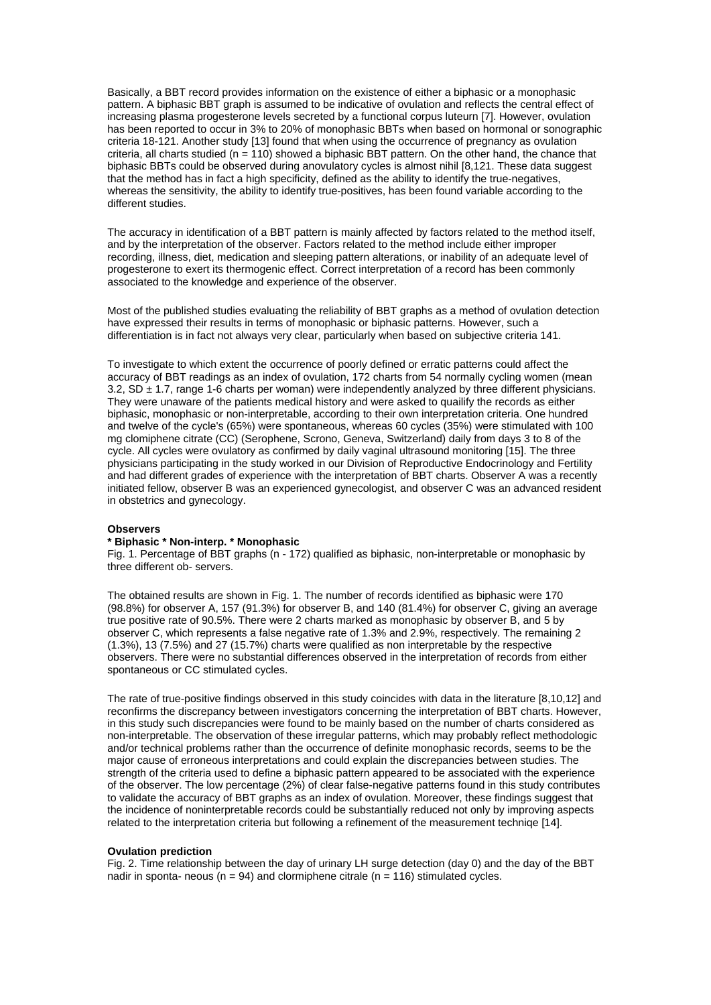Basically, a BBT record provides information on the existence of either a biphasic or a monophasic pattern. A biphasic BBT graph is assumed to be indicative of ovulation and reflects the central effect of increasing plasma progesterone levels secreted by a functional corpus luteurn [7]. However, ovulation has been reported to occur in 3% to 20% of monophasic BBTs when based on hormonal or sonographic criteria 18-121. Another study [13] found that when using the occurrence of pregnancy as ovulation criteria, all charts studied ( $n = 110$ ) showed a biphasic BBT pattern. On the other hand, the chance that biphasic BBTs could be observed during anovulatory cycles is almost nihil [8,121. These data suggest that the method has in fact a high specificity, defined as the ability to identify the true-negatives, whereas the sensitivity, the ability to identify true-positives, has been found variable according to the different studies.

The accuracy in identification of a BBT pattern is mainly affected by factors related to the method itself, and by the interpretation of the observer. Factors related to the method include either improper recording, illness, diet, medication and sleeping pattern alterations, or inability of an adequate level of progesterone to exert its thermogenic effect. Correct interpretation of a record has been commonly associated to the knowledge and experience of the observer.

Most of the published studies evaluating the reliability of BBT graphs as a method of ovulation detection have expressed their results in terms of monophasic or biphasic patterns. However, such a differentiation is in fact not always very clear, particularly when based on subjective criteria 141.

To investigate to which extent the occurrence of poorly defined or erratic patterns could affect the accuracy of BBT readings as an index of ovulation, 172 charts from 54 normally cycling women (mean 3.2, SD ± 1.7, range 1-6 charts per woman) were independently analyzed by three different physicians. They were unaware of the patients medical history and were asked to quailify the records as either biphasic, monophasic or non-interpretable, according to their own interpretation criteria. One hundred and twelve of the cycle's (65%) were spontaneous, whereas 60 cycles (35%) were stimulated with 100 mg clomiphene citrate (CC) (Serophene, Scrono, Geneva, Switzerland) daily from days 3 to 8 of the cycle. All cycles were ovulatory as confirmed by daily vaginal ultrasound monitoring [15]. The three physicians participating in the study worked in our Division of Reproductive Endocrinology and Fertility and had different grades of experience with the interpretation of BBT charts. Observer A was a recently initiated fellow, observer B was an experienced gynecologist, and observer C was an advanced resident in obstetrics and gynecology.

# **Observers**

# **\* Biphasic \* Non-interp. \* Monophasic**

Fig. 1. Percentage of BBT graphs (n - 172) qualified as biphasic, non-interpretable or monophasic by three different ob- servers.

The obtained results are shown in Fig. 1. The number of records identified as biphasic were 170 (98.8%) for observer A, 157 (91.3%) for observer B, and 140 (81.4%) for observer C, giving an average true positive rate of 90.5%. There were 2 charts marked as monophasic by observer B, and 5 by observer C, which represents a false negative rate of 1.3% and 2.9%, respectively. The remaining 2 (1.3%), 13 (7.5%) and 27 (15.7%) charts were qualified as non interpretable by the respective observers. There were no substantial differences observed in the interpretation of records from either spontaneous or CC stimulated cycles.

The rate of true-positive findings observed in this study coincides with data in the literature [8,10,12] and reconfirms the discrepancy between investigators concerning the interpretation of BBT charts. However, in this study such discrepancies were found to be mainly based on the number of charts considered as non-interpretable. The observation of these irregular patterns, which may probably reflect methodologic and/or technical problems rather than the occurrence of definite monophasic records, seems to be the major cause of erroneous interpretations and could explain the discrepancies between studies. The strength of the criteria used to define a biphasic pattern appeared to be associated with the experience of the observer. The low percentage (2%) of clear false-negative patterns found in this study contributes to validate the accuracy of BBT graphs as an index of ovulation. Moreover, these findings suggest that the incidence of noninterpretable records could be substantially reduced not only by improving aspects related to the interpretation criteria but following a refinement of the measurement techniqe [14].

#### **Ovulation prediction**

Fig. 2. Time relationship between the day of urinary LH surge detection (day 0) and the day of the BBT nadir in sponta- neous ( $n = 94$ ) and clormiphene citrale ( $n = 116$ ) stimulated cycles.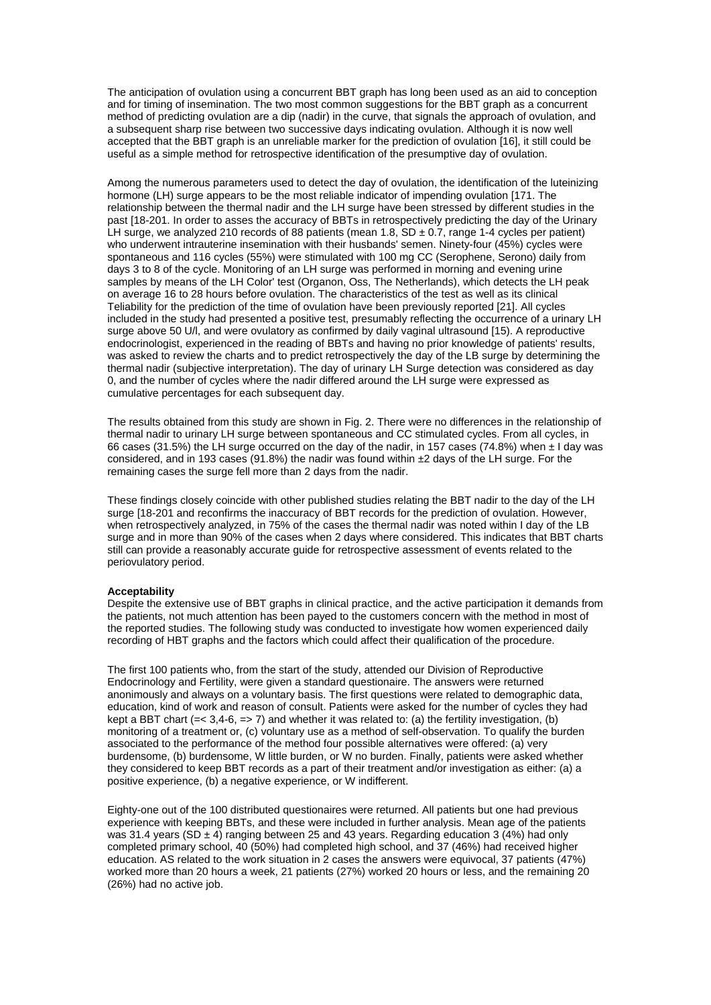The anticipation of ovulation using a concurrent BBT graph has long been used as an aid to conception and for timing of insemination. The two most common suggestions for the BBT graph as a concurrent method of predicting ovulation are a dip (nadir) in the curve, that signals the approach of ovulation, and a subsequent sharp rise between two successive days indicating ovulation. Although it is now well accepted that the BBT graph is an unreliable marker for the prediction of ovulation [16], it still could be useful as a simple method for retrospective identification of the presumptive day of ovulation.

Among the numerous parameters used to detect the day of ovulation, the identification of the luteinizing hormone (LH) surge appears to be the most reliable indicator of impending ovulation [171. The relationship between the thermal nadir and the LH surge have been stressed by different studies in the past [18-201. In order to asses the accuracy of BBTs in retrospectively predicting the day of the Urinary LH surge, we analyzed 210 records of 88 patients (mean 1.8,  $SD \pm 0.7$ , range 1-4 cycles per patient) who underwent intrauterine insemination with their husbands' semen. Ninety-four (45%) cycles were spontaneous and 116 cycles (55%) were stimulated with 100 mg CC (Serophene, Serono) daily from days 3 to 8 of the cycle. Monitoring of an LH surge was performed in morning and evening urine samples by means of the LH Color' test (Organon, Oss, The Netherlands), which detects the LH peak on average 16 to 28 hours before ovulation. The characteristics of the test as well as its clinical Teliability for the prediction of the time of ovulation have been previously reported [21]. All cycles included in the study had presented a positive test, presumably reflecting the occurrence of a urinary LH surge above 50 U/l, and were ovulatory as confirmed by daily vaginal ultrasound [15). A reproductive endocrinologist, experienced in the reading of BBTs and having no prior knowledge of patients' results, was asked to review the charts and to predict retrospectively the day of the LB surge by determining the thermal nadir (subjective interpretation). The day of urinary LH Surge detection was considered as day 0, and the number of cycles where the nadir differed around the LH surge were expressed as cumulative percentages for each subsequent day.

The results obtained from this study are shown in Fig. 2. There were no differences in the relationship of thermal nadir to urinary LH surge between spontaneous and CC stimulated cycles. From all cycles, in 66 cases (31.5%) the LH surge occurred on the day of the nadir, in 157 cases (74.8%) when ± I day was considered, and in 193 cases (91.8%) the nadir was found within  $\pm 2$  days of the LH surge. For the remaining cases the surge fell more than 2 days from the nadir.

These findings closely coincide with other published studies relating the BBT nadir to the day of the LH surge [18-201 and reconfirms the inaccuracy of BBT records for the prediction of ovulation. However, when retrospectively analyzed, in 75% of the cases the thermal nadir was noted within I day of the LB surge and in more than 90% of the cases when 2 days where considered. This indicates that BBT charts still can provide a reasonably accurate guide for retrospective assessment of events related to the periovulatory period.

# **Acceptability**

Despite the extensive use of BBT graphs in clinical practice, and the active participation it demands from the patients, not much attention has been payed to the customers concern with the method in most of the reported studies. The following study was conducted to investigate how women experienced daily recording of HBT graphs and the factors which could affect their qualification of the procedure.

The first 100 patients who, from the start of the study, attended our Division of Reproductive Endocrinology and Fertility, were given a standard questionaire. The answers were returned anonimously and always on a voluntary basis. The first questions were related to demographic data, education, kind of work and reason of consult. Patients were asked for the number of cycles they had kept a BBT chart ( $=< 3,4-6, => 7$ ) and whether it was related to: (a) the fertility investigation, (b) monitoring of a treatment or, (c) voluntary use as a method of self-observation. To qualify the burden associated to the performance of the method four possible alternatives were offered: (a) very burdensome, (b) burdensome, W little burden, or W no burden. Finally, patients were asked whether they considered to keep BBT records as a part of their treatment and/or investigation as either: (a) a positive experience, (b) a negative experience, or W indifferent.

Eighty-one out of the 100 distributed questionaires were returned. All patients but one had previous experience with keeping BBTs, and these were included in further analysis. Mean age of the patients was 31.4 years (SD  $\pm$  4) ranging between 25 and 43 years. Regarding education 3 (4%) had only completed primary school, 40 (50%) had completed high school, and 37 (46%) had received higher education. AS related to the work situation in 2 cases the answers were equivocal, 37 patients (47%) worked more than 20 hours a week, 21 patients (27%) worked 20 hours or less, and the remaining 20 (26%) had no active job.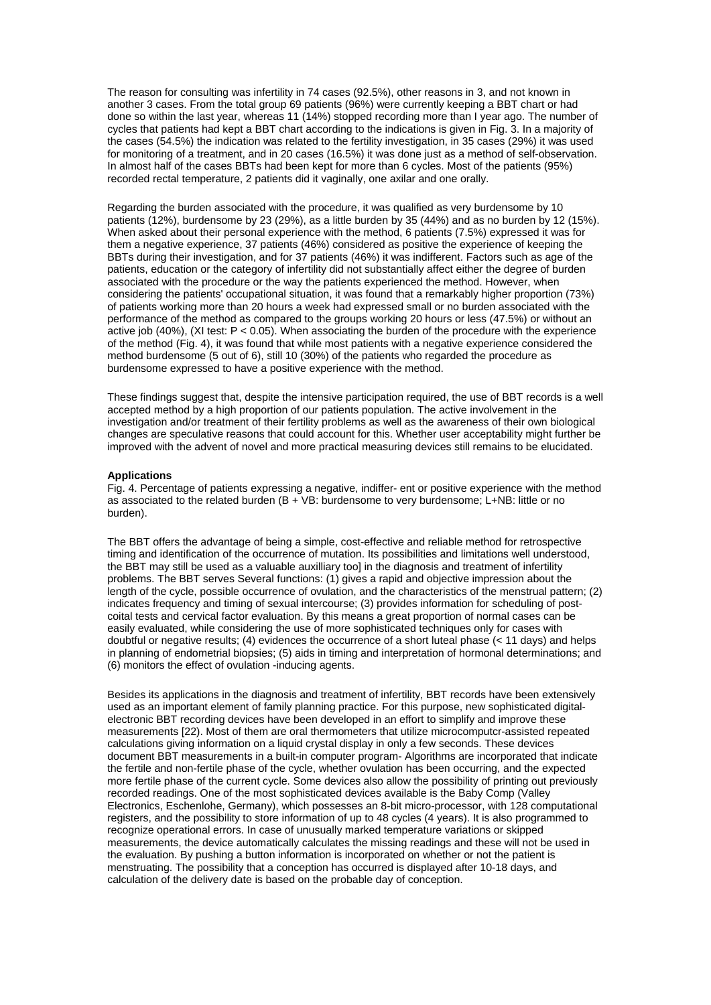The reason for consulting was infertility in 74 cases (92.5%), other reasons in 3, and not known in another 3 cases. From the total group 69 patients (96%) were currently keeping a BBT chart or had done so within the last year, whereas 11 (14%) stopped recording more than I year ago. The number of cycles that patients had kept a BBT chart according to the indications is given in Fig. 3. In a majority of the cases (54.5%) the indication was related to the fertility investigation, in 35 cases (29%) it was used for monitoring of a treatment, and in 20 cases (16.5%) it was done just as a method of self-observation. In almost half of the cases BBTs had been kept for more than 6 cycles. Most of the patients (95%) recorded rectal temperature, 2 patients did it vaginally, one axilar and one orally.

Regarding the burden associated with the procedure, it was qualified as very burdensome by 10 patients (12%), burdensome by 23 (29%), as a little burden by 35 (44%) and as no burden by 12 (15%). When asked about their personal experience with the method, 6 patients (7.5%) expressed it was for them a negative experience, 37 patients (46%) considered as positive the experience of keeping the BBTs during their investigation, and for 37 patients (46%) it was indifferent. Factors such as age of the patients, education or the category of infertility did not substantially affect either the degree of burden associated with the procedure or the way the patients experienced the method. However, when considering the patients' occupational situation, it was found that a remarkably higher proportion (73%) of patients working more than 20 hours a week had expressed small or no burden associated with the performance of the method as compared to the groups working 20 hours or less (47.5%) or without an active job  $(40\%)$ ,  $(XI test: P < 0.05)$ . When associating the burden of the procedure with the experience of the method (Fig. 4), it was found that while most patients with a negative experience considered the method burdensome (5 out of 6), still 10 (30%) of the patients who regarded the procedure as burdensome expressed to have a positive experience with the method.

These findings suggest that, despite the intensive participation required, the use of BBT records is a well accepted method by a high proportion of our patients population. The active involvement in the investigation and/or treatment of their fertility problems as well as the awareness of their own biological changes are speculative reasons that could account for this. Whether user acceptability might further be improved with the advent of novel and more practical measuring devices still remains to be elucidated.

# **Applications**

Fig. 4. Percentage of patients expressing a negative, indiffer- ent or positive experience with the method as associated to the related burden (B + VB: burdensome to very burdensome; L+NB: little or no burden).

The BBT offers the advantage of being a simple, cost-effective and reliable method for retrospective timing and identification of the occurrence of mutation. Its possibilities and limitations well understood, the BBT may still be used as a valuable auxilliary tool in the diagnosis and treatment of infertility problems. The BBT serves Several functions: (1) gives a rapid and objective impression about the length of the cycle, possible occurrence of ovulation, and the characteristics of the menstrual pattern; (2) indicates frequency and timing of sexual intercourse; (3) provides information for scheduling of postcoital tests and cervical factor evaluation. By this means a great proportion of normal cases can be easily evaluated, while considering the use of more sophisticated techniques only for cases with doubtful or negative results; (4) evidences the occurrence of a short luteal phase (< 11 days) and helps in planning of endometrial biopsies; (5) aids in timing and interpretation of hormonal determinations; and (6) monitors the effect of ovulation -inducing agents.

Besides its applications in the diagnosis and treatment of infertility, BBT records have been extensively used as an important element of family planning practice. For this purpose, new sophisticated digitalelectronic BBT recording devices have been developed in an effort to simplify and improve these measurements [22). Most of them are oral thermometers that utilize microcomputcr-assisted repeated calculations giving information on a liquid crystal display in only a few seconds. These devices document BBT measurements in a built-in computer program- Algorithms are incorporated that indicate the fertile and non-fertile phase of the cycle, whether ovulation has been occurring, and the expected more fertile phase of the current cycle. Some devices also allow the possibility of printing out previously recorded readings. One of the most sophisticated devices available is the Baby Comp (Valley Electronics, Eschenlohe, Germany), which possesses an 8-bit micro-processor, with 128 computational registers, and the possibility to store information of up to 48 cycles (4 years). It is also programmed to recognize operational errors. In case of unusually marked temperature variations or skipped measurements, the device automatically calculates the missing readings and these will not be used in the evaluation. By pushing a button information is incorporated on whether or not the patient is menstruating. The possibility that a conception has occurred is displayed after 10-18 days, and calculation of the delivery date is based on the probable day of conception.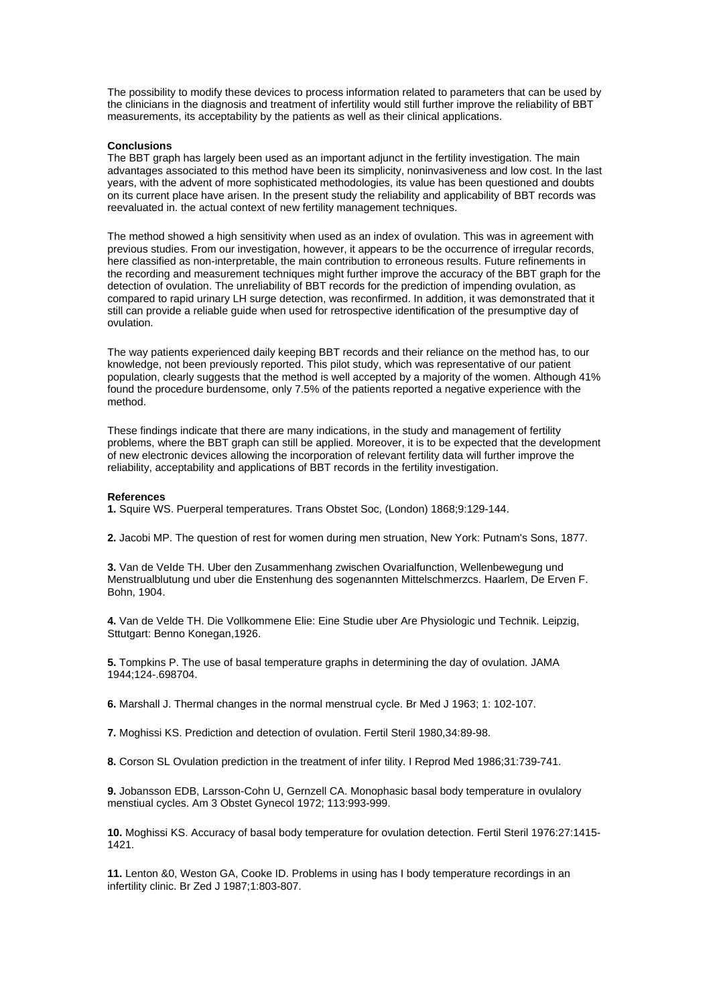The possibility to modify these devices to process information related to parameters that can be used by the clinicians in the diagnosis and treatment of infertility would still further improve the reliability of BBT measurements, its acceptability by the patients as well as their clinical applications.

# **Conclusions**

The BBT graph has largely been used as an important adjunct in the fertility investigation. The main advantages associated to this method have been its simplicity, noninvasiveness and low cost. In the last years, with the advent of more sophisticated methodologies, its value has been questioned and doubts on its current place have arisen. In the present study the reliability and applicability of BBT records was reevaluated in. the actual context of new fertility management techniques.

The method showed a high sensitivity when used as an index of ovulation. This was in agreement with previous studies. From our investigation, however, it appears to be the occurrence of irregular records, here classified as non-interpretable, the main contribution to erroneous results. Future refinements in the recording and measurement techniques might further improve the accuracy of the BBT graph for the detection of ovulation. The unreliability of BBT records for the prediction of impending ovulation, as compared to rapid urinary LH surge detection, was reconfirmed. In addition, it was demonstrated that it still can provide a reliable guide when used for retrospective identification of the presumptive day of ovulation.

The way patients experienced daily keeping BBT records and their reliance on the method has, to our knowledge, not been previously reported. This pilot study, which was representative of our patient population, clearly suggests that the method is well accepted by a majority of the women. Although 41% found the procedure burdensome, only 7.5% of the patients reported a negative experience with the method.

These findings indicate that there are many indications, in the study and management of fertility problems, where the BBT graph can still be applied. Moreover, it is to be expected that the development of new electronic devices allowing the incorporation of relevant fertility data will further improve the reliability, acceptability and applications of BBT records in the fertility investigation.

#### **References**

**1.** Squire WS. Puerperal temperatures. Trans Obstet Soc, (London) 1868;9:129-144.

**2.** Jacobi MP. The question of rest for women during men struation, New York: Putnam's Sons, 1877.

**3.** Van de VeIde TH. Uber den Zusammenhang zwischen Ovarialfunction, Wellenbewegung und Menstrualblutung und uber die Enstenhung des sogenannten Mittelschmerzcs. Haarlem, De Erven F. Bohn, 1904.

**4.** Van de Velde TH. Die Vollkommene Elie: Eine Studie uber Are Physiologic und Technik. Leipzig, Sttutgart: Benno Konegan,1926.

**5.** Tompkins P. The use of basal temperature graphs in determining the day of ovulation. JAMA 1944;124-.698704.

**6.** Marshall J. Thermal changes in the normal menstrual cycle. Br Med J 1963; 1: 102-107.

**7.** Moghissi KS. Prediction and detection of ovulation. Fertil Steril 1980,34:89-98.

**8.** Corson SL Ovulation prediction in the treatment of infer tility. I Reprod Med 1986;31:739-741.

**9.** Jobansson EDB, Larsson-Cohn U, Gernzell CA. Monophasic basal body temperature in ovulalory menstiual cycles. Am 3 Obstet Gynecol 1972; 113:993-999.

**10.** Moghissi KS. Accuracy of basal body temperature for ovulation detection. Fertil Steril 1976:27:1415- 1421.

**11.** Lenton &0, Weston GA, Cooke ID. Problems in using has I body temperature recordings in an infertility clinic. Br Zed J 1987;1:803-807.